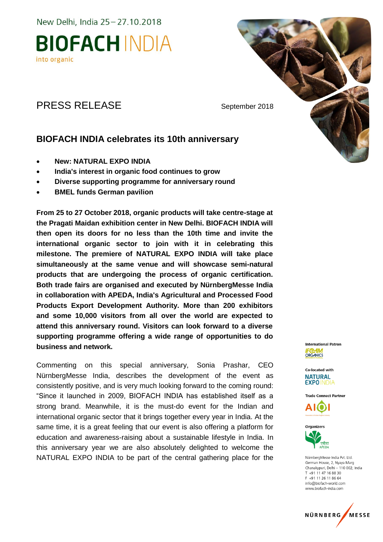New Delhi, India 25-27.10.2018

## **BIOFACH INDIA** into organic

### PRESS RELEASE September 2018

### **BIOFACH INDIA celebrates its 10th anniversary**

- **New: NATURAL EXPO INDIA**
- **India's interest in organic food continues to grow**
- **Diverse supporting programme for anniversary round**
- **BMEL funds German pavilion**

**From 25 to 27 October 2018, organic products will take centre-stage at the Pragati Maidan exhibition center in New Delhi. BIOFACH INDIA will then open its doors for no less than the 10th time and invite the international organic sector to join with it in celebrating this milestone. The premiere of NATURAL EXPO INDIA will take place simultaneously at the same venue and will showcase semi-natural products that are undergoing the process of organic certification. Both trade fairs are organised and executed by NürnbergMesse India in collaboration with APEDA, India's Agricultural and Processed Food Products Export Development Authority. More than 200 exhibitors and some 10,000 visitors from all over the world are expected to attend this anniversary round. Visitors can look forward to a diverse supporting programme offering a wide range of opportunities to do business and network.**

Commenting on this special anniversary, Sonia Prashar, CEO NürnbergMesse India, describes the development of the event as consistently positive, and is very much looking forward to the coming round: "Since it launched in 2009, BIOFACH INDIA has established itself as a strong brand. Meanwhile, it is the must-do event for the Indian and international organic sector that it brings together every year in India. At the same time, it is a great feeling that our event is also offering a platform for education and awareness-raising about a sustainable lifestyle in India. In this anniversary year we are also absolutely delighted to welcome the NATURAL EXPO INDIA to be part of the central gathering place for the

International Patron **ORGANICS** 

Co-located with **NATURAL EXPO INDIA** 

**Trade Connect Partner** 





NürnbergMesse India Pvt. Ltd. German House, 2, Nyaya Marg Chanakypuri, Delhi - 110 002, India  $T + 911147168830$ F +91 11 26 11 86 64 info@biofach-world.com www.biofach-india.com

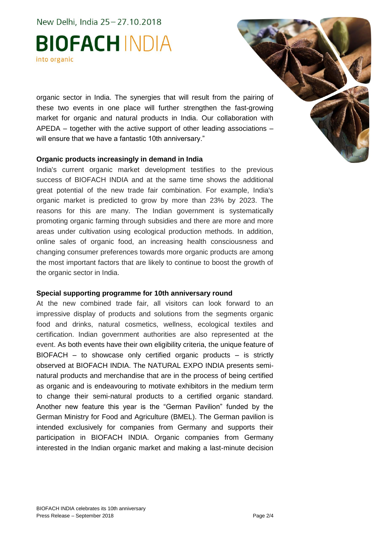New Delhi, India 25 - 27.10.2018

# **BIOFACH INDIA** into organic

organic sector in India. The synergies that will result from the pairing of these two events in one place will further strengthen the fast-growing market for organic and natural products in India. Our collaboration with APEDA – together with the active support of other leading associations – will ensure that we have a fantastic 10th anniversary."

#### **Organic products increasingly in demand in India**

India's current organic market development testifies to the previous success of BIOFACH INDIA and at the same time shows the additional great potential of the new trade fair combination. For example, India's organic market is predicted to grow by more than 23% by 2023. The reasons for this are many. The Indian government is systematically promoting organic farming through subsidies and there are more and more areas under cultivation using ecological production methods. In addition, online sales of organic food, an increasing health consciousness and changing consumer preferences towards more organic products are among the most important factors that are likely to continue to boost the growth of the organic sector in India.

#### **Special supporting programme for 10th anniversary round**

At the new combined trade fair, all visitors can look forward to an impressive display of products and solutions from the segments organic food and drinks, natural cosmetics, wellness, ecological textiles and certification. Indian government authorities are also represented at the event. As both events have their own eligibility criteria, the unique feature of BIOFACH – to showcase only certified organic products – is strictly observed at BIOFACH INDIA. The NATURAL EXPO INDIA presents seminatural products and merchandise that are in the process of being certified as organic and is endeavouring to motivate exhibitors in the medium term to change their semi-natural products to a certified organic standard. Another new feature this year is the "German Pavilion" funded by the German Ministry for Food and Agriculture (BMEL). The German pavilion is intended exclusively for companies from Germany and supports their participation in BIOFACH INDIA. Organic companies from Germany interested in the Indian organic market and making a last-minute decision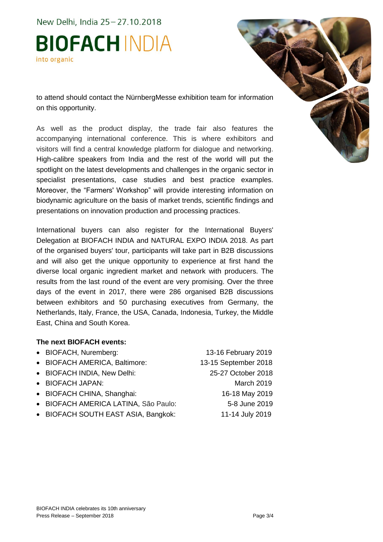New Delhi, India 25 - 27.10.2018

# **BIOFACH INDIA** into organic

to attend should contact the NürnbergMesse exhibition team for information on this opportunity.

As well as the product display, the trade fair also features the accompanying international conference. This is where exhibitors and visitors will find a central knowledge platform for dialogue and networking. High-calibre speakers from India and the rest of the world will put the spotlight on the latest developments and challenges in the organic sector in specialist presentations, case studies and best practice examples. Moreover, the "Farmers' Workshop" will provide interesting information on biodynamic agriculture on the basis of market trends, scientific findings and presentations on innovation production and processing practices.

International buyers can also register for the International Buyers' Delegation at BIOFACH INDIA and NATURAL EXPO INDIA 2018. As part of the organised buyers' tour, participants will take part in B2B discussions and will also get the unique opportunity to experience at first hand the diverse local organic ingredient market and network with producers. The results from the last round of the event are very promising. Over the three days of the event in 2017, there were 286 organised B2B discussions between exhibitors and 50 purchasing executives from Germany, the Netherlands, Italy, France, the USA, Canada, Indonesia, Turkey, the Middle East, China and South Korea.

### **The next BIOFACH events:**

 BIOFACH, Nuremberg: 13-16 February 2019 • BIOFACH AMERICA, Baltimore: 13-15 September 2018 BIOFACH INDIA, New Delhi: 25-27 October 2018 • BIOFACH JAPAN: March 2019 • BIOFACH CHINA, Shanghai: 16-18 May 2019 BIOFACH AMERICA LATINA, São Paulo: 5-8 June 2019 • BIOFACH SOUTH EAST ASIA, Bangkok: 11-14 July 2019

BIOFACH INDIA celebrates its 10th anniversary Press Release – September 2018 Page 3/4